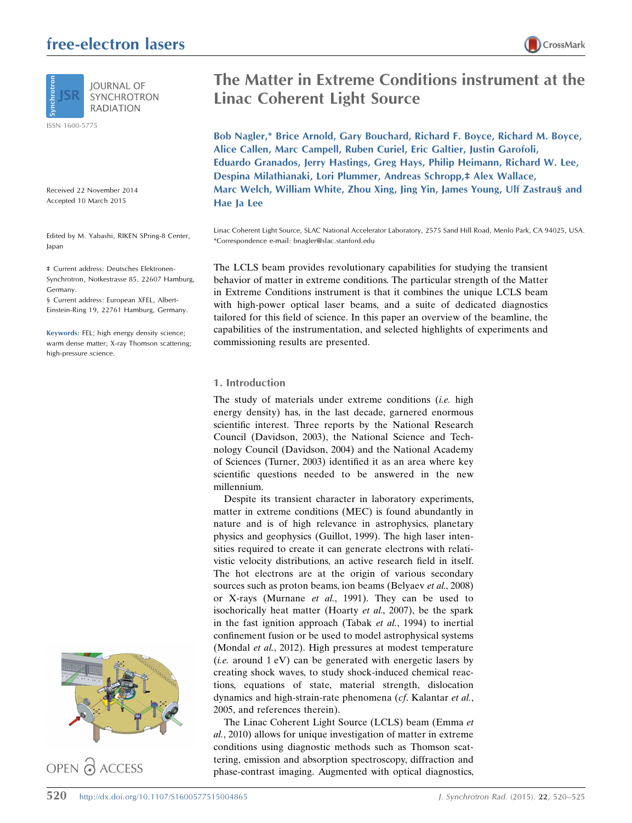# free-electron lasers



**SYNCHROTRON RADIATION** 

ISSN 1600-5775

Received 22 November 2014 Accepted 10 March 2015

Edited by M. Yabashi, RIKEN SPring-8 Center, Japan

‡ Current address: Deutsches Elektronen-Synchrotron, Notkestrasse 85, 22607 Hamburg, Germany.

§ Current address: European XFEL, Albert-Einstein-Ring 19, 22761 Hamburg, Germany.

Keywords: FEL; high energy density science; warm dense matter; X-ray Thomson scattering; high-pressure science.



OPEN PACCESS

# The Matter in Extreme Conditions instrument at the Linac Coherent Light Source

Bob Nagler,\* Brice Arnold, Gary Bouchard, Richard F. Boyce, Richard M. Boyce, Alice Callen, Marc Campell, Ruben Curiel, Eric Galtier, Justin Garofoli, Eduardo Granados, Jerry Hastings, Greg Hays, Philip Heimann, Richard W. Lee, Despina Milathianaki, Lori Plummer, Andreas Schropp,‡ Alex Wallace, Marc Welch, William White, Zhou Xing, Jing Yin, James Young, Ulf Zastrau§ and Hae Ja Lee

Linac Coherent Light Source, SLAC National Accelerator Laboratory, 2575 Sand Hill Road, Menlo Park, CA 94025, USA. \*Correspondence e-mail: bnagler@slac.stanford.edu

The LCLS beam provides revolutionary capabilities for studying the transient behavior of matter in extreme conditions. The particular strength of the Matter in Extreme Conditions instrument is that it combines the unique LCLS beam with high-power optical laser beams, and a suite of dedicated diagnostics tailored for this field of science. In this paper an overview of the beamline, the capabilities of the instrumentation, and selected highlights of experiments and commissioning results are presented.

## 1. Introduction

The study of materials under extreme conditions *(i.e.* high energy density) has, in the last decade, garnered enormous scientific interest. Three reports by the National Research Council (Davidson, 2003), the National Science and Technology Council (Davidson, 2004) and the National Academy of Sciences (Turner, 2003) identified it as an area where key scientific questions needed to be answered in the new millennium.

Despite its transient character in laboratory experiments, matter in extreme conditions (MEC) is found abundantly in nature and is of high relevance in astrophysics, planetary physics and geophysics (Guillot, 1999). The high laser intensities required to create it can generate electrons with relativistic velocity distributions, an active research field in itself. The hot electrons are at the origin of various secondary sources such as proton beams, ion beams (Belyaev et al., 2008) or X-rays (Murnane et al., 1991). They can be used to isochorically heat matter (Hoarty et al., 2007), be the spark in the fast ignition approach (Tabak et al., 1994) to inertial confinement fusion or be used to model astrophysical systems (Mondal et al., 2012). High pressures at modest temperature (*i.e.* around  $1 \text{ eV}$ ) can be generated with energetic lasers by creating shock waves, to study shock-induced chemical reactions, equations of state, material strength, dislocation dynamics and high-strain-rate phenomena (cf. Kalantar et al., 2005, and references therein).

The Linac Coherent Light Source (LCLS) beam (Emma et al., 2010) allows for unique investigation of matter in extreme conditions using diagnostic methods such as Thomson scattering, emission and absorption spectroscopy, diffraction and phase-contrast imaging. Augmented with optical diagnostics,

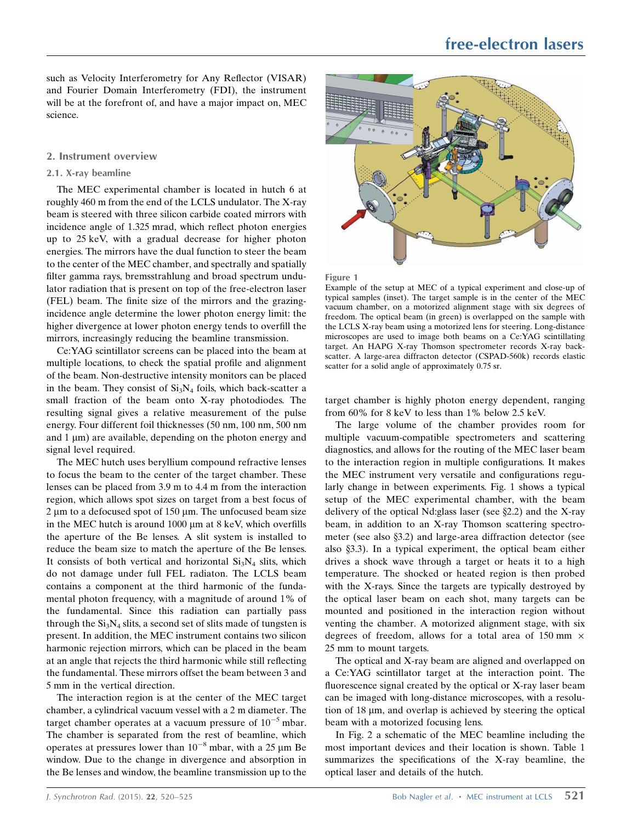such as Velocity Interferometry for Any Reflector (VISAR) and Fourier Domain Interferometry (FDI), the instrument will be at the forefront of, and have a major impact on, MEC science.

## 2. Instrument overview

## 2.1. X-ray beamline

The MEC experimental chamber is located in hutch 6 at roughly 460 m from the end of the LCLS undulator. The X-ray beam is steered with three silicon carbide coated mirrors with incidence angle of 1.325 mrad, which reflect photon energies up to 25 keV, with a gradual decrease for higher photon energies. The mirrors have the dual function to steer the beam to the center of the MEC chamber, and spectrally and spatially filter gamma rays, bremsstrahlung and broad spectrum undulator radiation that is present on top of the free-electron laser (FEL) beam. The finite size of the mirrors and the grazingincidence angle determine the lower photon energy limit: the higher divergence at lower photon energy tends to overfill the mirrors, increasingly reducing the beamline transmission.

Ce:YAG scintillator screens can be placed into the beam at multiple locations, to check the spatial profile and alignment of the beam. Non-destructive intensity monitors can be placed in the beam. They consist of  $Si<sub>3</sub>N<sub>4</sub>$  foils, which back-scatter a small fraction of the beam onto X-ray photodiodes. The resulting signal gives a relative measurement of the pulse energy. Four different foil thicknesses (50 nm, 100 nm, 500 nm and  $1 \mu m$ ) are available, depending on the photon energy and signal level required.

The MEC hutch uses beryllium compound refractive lenses to focus the beam to the center of the target chamber. These lenses can be placed from 3.9 m to 4.4 m from the interaction region, which allows spot sizes on target from a best focus of  $2 \mu m$  to a defocused spot of 150  $\mu$ m. The unfocused beam size in the MEC hutch is around  $1000 \mu m$  at 8 keV, which overfills the aperture of the Be lenses. A slit system is installed to reduce the beam size to match the aperture of the Be lenses. It consists of both vertical and horizontal  $Si<sub>3</sub>N<sub>4</sub>$  slits, which do not damage under full FEL radiaton. The LCLS beam contains a component at the third harmonic of the fundamental photon frequency, with a magnitude of around 1% of the fundamental. Since this radiation can partially pass through the  $Si<sub>3</sub>N<sub>4</sub>$  slits, a second set of slits made of tungsten is present. In addition, the MEC instrument contains two silicon harmonic rejection mirrors, which can be placed in the beam at an angle that rejects the third harmonic while still reflecting the fundamental. These mirrors offset the beam between 3 and 5 mm in the vertical direction.

The interaction region is at the center of the MEC target chamber, a cylindrical vacuum vessel with a 2 m diameter. The target chamber operates at a vacuum pressure of  $10^{-5}$  mbar. The chamber is separated from the rest of beamline, which operates at pressures lower than  $10^{-8}$  mbar, with a 25  $\mu$ m Be window. Due to the change in divergence and absorption in the Be lenses and window, the beamline transmission up to the





Example of the setup at MEC of a typical experiment and close-up of typical samples (inset). The target sample is in the center of the MEC vacuum chamber, on a motorized alignment stage with six degrees of freedom. The optical beam (in green) is overlapped on the sample with the LCLS X-ray beam using a motorized lens for steering. Long-distance microscopes are used to image both beams on a Ce:YAG scintillating target. An HAPG X-ray Thomson spectrometer records X-ray backscatter. A large-area diffracton detector (CSPAD-560k) records elastic scatter for a solid angle of approximately 0.75 sr.

target chamber is highly photon energy dependent, ranging from 60% for 8 keV to less than 1% below 2.5 keV.

The large volume of the chamber provides room for multiple vacuum-compatible spectrometers and scattering diagnostics, and allows for the routing of the MEC laser beam to the interaction region in multiple configurations. It makes the MEC instrument very versatile and configurations regularly change in between experiments. Fig. 1 shows a typical setup of the MEC experimental chamber, with the beam delivery of the optical Nd: glass laser (see  $\S 2.2$ ) and the X-ray beam, in addition to an X-ray Thomson scattering spectrometer (see also  $\S$ 3.2) and large-area diffraction detector (see also  $\S$ 3.3). In a typical experiment, the optical beam either drives a shock wave through a target or heats it to a high temperature. The shocked or heated region is then probed with the X-rays. Since the targets are typically destroyed by the optical laser beam on each shot, many targets can be mounted and positioned in the interaction region without venting the chamber. A motorized alignment stage, with six degrees of freedom, allows for a total area of 150 mm  $\times$ 25 mm to mount targets.

The optical and X-ray beam are aligned and overlapped on a Ce:YAG scintillator target at the interaction point. The fluorescence signal created by the optical or X-ray laser beam can be imaged with long-distance microscopes, with a resolution of  $18 \mu m$ , and overlap is achieved by steering the optical beam with a motorized focusing lens.

In Fig. 2 a schematic of the MEC beamline including the most important devices and their location is shown. Table 1 summarizes the specifications of the X-ray beamline, the optical laser and details of the hutch.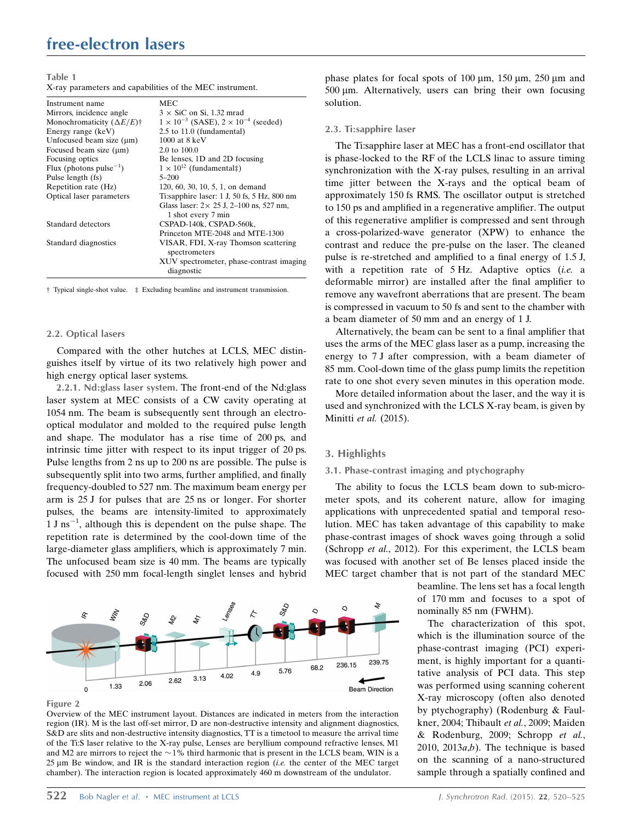## free-electron lasers

Table 1

X-ray parameters and capabilities of the MEC instrument.

| Instrument name                                  | MEC                                                    |
|--------------------------------------------------|--------------------------------------------------------|
| Mirrors, incidence angle                         | $3 \times$ SiC on Si, 1.32 mrad                        |
| Monochromaticity $(\Delta E/E)^{+}$              | $1 \times 10^{-3}$ (SASE), $2 \times 10^{-4}$ (seeded) |
| Energy range (keV)                               | 2.5 to 11.0 (fundamental)                              |
| Unfocused beam size $(\mu m)$                    | $1000$ at $8 \text{ keV}$                              |
| Focused beam size $(\mu m)$                      | $2.0 \text{ to } 100.0$                                |
| Focusing optics                                  | Be lenses, 1D and 2D focusing                          |
| Flux (photons pulse <sup><math>-1</math></sup> ) | $1 \times 10^{12}$ (fundamental:)                      |
| Pulse length (fs)                                | $5 - 200$                                              |
| Repetition rate (Hz)                             | 120, 60, 30, 10, 5, 1, on demand                       |
| Optical laser parameters                         | Ti:sapphire laser: $1 J$ , $50 fs$ , $5 Hz$ , $800 nm$ |
|                                                  | Glass laser: $2 \times 25$ J, 2-100 ns, 527 nm,        |
|                                                  | 1 shot every 7 min                                     |
| Standard detectors                               | CSPAD-140k, CSPAD-560k,                                |
|                                                  | Princeton MTE-2048 and MTE-1300                        |
| Standard diagnostics                             | VISAR, FDI, X-ray Thomson scattering<br>spectrometers  |
|                                                  | XUV spectrometer, phase-contrast imaging<br>diagnostic |

† Typical single-shot value. ‡ Excluding beamline and instrument transmission.

#### 2.2. Optical lasers

Compared with the other hutches at LCLS, MEC distinguishes itself by virtue of its two relatively high power and high energy optical laser systems.

2.2.1. Nd:glass laser system. The front-end of the Nd:glass laser system at MEC consists of a CW cavity operating at 1054 nm. The beam is subsequently sent through an electrooptical modulator and molded to the required pulse length and shape. The modulator has a rise time of 200 ps, and intrinsic time jitter with respect to its input trigger of 20 ps. Pulse lengths from 2 ns up to 200 ns are possible. The pulse is subsequently split into two arms, further amplified, and finally frequency-doubled to 527 nm. The maximum beam energy per arm is 25 J for pulses that are 25 ns or longer. For shorter pulses, the beams are intensity-limited to approximately  $1 \text{ J}$  ns<sup>-1</sup>, although this is dependent on the pulse shape. The repetition rate is determined by the cool-down time of the large-diameter glass amplifiers, which is approximately 7 min. The unfocused beam size is 40 mm. The beams are typically focused with 250 mm focal-length singlet lenses and hybrid



Figure 2

Overview of the MEC instrument layout. Distances are indicated in meters from the interaction region (IR). M is the last off-set mirror, D are non-destructive intensity and alignment diagnostics, S&D are slits and non-destructive intensity diagnostics, TT is a timetool to measure the arrival time of the Ti:S laser relative to the X-ray pulse, Lenses are beryllium compound refractive lenses, M1 and M2 are mirrors to reject the  $\sim$  1% third harmonic that is present in the LCLS beam, WIN is a 25  $\mu$ m Be window, and IR is the standard interaction region (*i.e.* the center of the MEC target chamber). The interaction region is located approximately 460 m downstream of the undulator.

phase plates for focal spots of 100  $\mu$ m, 150  $\mu$ m, 250  $\mu$ m and 500 um. Alternatively, users can bring their own focusing solution.

#### 2.3. Ti:sapphire laser

The Ti:sapphire laser at MEC has a front-end oscillator that is phase-locked to the RF of the LCLS linac to assure timing synchronization with the X-ray pulses, resulting in an arrival time jitter between the X-rays and the optical beam of approximately 150 fs RMS. The oscillator output is stretched to 150 ps and amplified in a regenerative amplifier. The output of this regenerative amplifier is compressed and sent through a cross-polarized-wave generator (XPW) to enhance the contrast and reduce the pre-pulse on the laser. The cleaned pulse is re-stretched and amplified to a final energy of 1.5 J, with a repetition rate of 5 Hz. Adaptive optics (i.e. a deformable mirror) are installed after the final amplifier to remove any wavefront aberrations that are present. The beam is compressed in vacuum to 50 fs and sent to the chamber with a beam diameter of 50 mm and an energy of 1 J.

Alternatively, the beam can be sent to a final amplifier that uses the arms of the MEC glass laser as a pump, increasing the energy to 7 J after compression, with a beam diameter of 85 mm. Cool-down time of the glass pump limits the repetition rate to one shot every seven minutes in this operation mode.

More detailed information about the laser, and the way it is used and synchronized with the LCLS X-ray beam, is given by Minitti et al. (2015).

#### 3. Highlights

#### 3.1. Phase-contrast imaging and ptychography

The ability to focus the LCLS beam down to sub-micrometer spots, and its coherent nature, allow for imaging applications with unprecedented spatial and temporal resolution. MEC has taken advantage of this capability to make phase-contrast images of shock waves going through a solid (Schropp et al., 2012). For this experiment, the LCLS beam was focused with another set of Be lenses placed inside the MEC target chamber that is not part of the standard MEC

> beamline. The lens set has a focal length of 170 mm and focuses to a spot of nominally 85 nm (FWHM).

> The characterization of this spot, which is the illumination source of the phase-contrast imaging (PCI) experiment, is highly important for a quantitative analysis of PCI data. This step was performed using scanning coherent X-ray microscopy (often also denoted by ptychography) (Rodenburg & Faulkner, 2004; Thibault et al., 2009; Maiden & Rodenburg, 2009; Schropp et al., 2010, 2013 $a,b$ ). The technique is based on the scanning of a nano-structured sample through a spatially confined and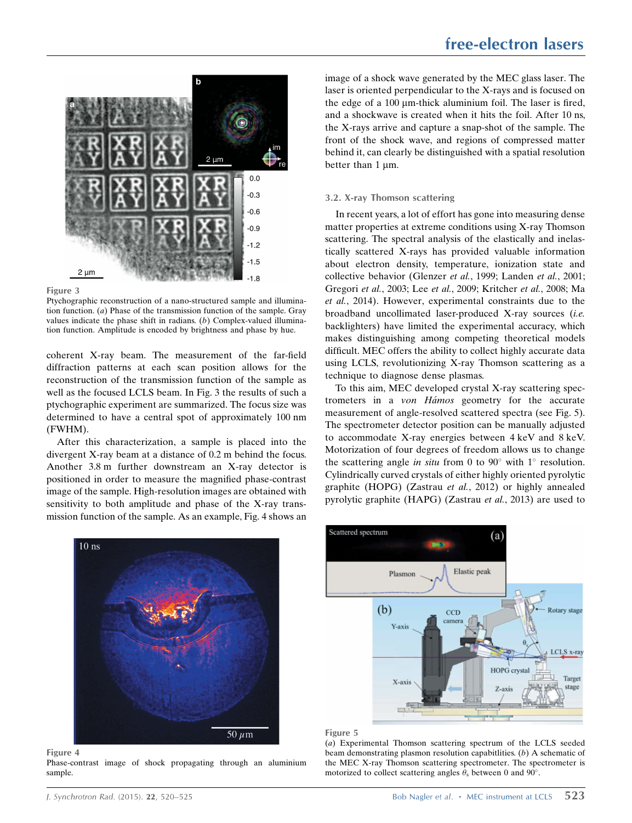



Ptychographic reconstruction of a nano-structured sample and illumination function. (a) Phase of the transmission function of the sample. Gray values indicate the phase shift in radians. (b) Complex-valued illumination function. Amplitude is encoded by brightness and phase by hue.

coherent X-ray beam. The measurement of the far-field diffraction patterns at each scan position allows for the reconstruction of the transmission function of the sample as well as the focused LCLS beam. In Fig. 3 the results of such a ptychographic experiment are summarized. The focus size was determined to have a central spot of approximately 100 nm (FWHM).

After this characterization, a sample is placed into the divergent X-ray beam at a distance of 0.2 m behind the focus. Another 3.8 m further downstream an X-ray detector is positioned in order to measure the magnified phase-contrast image of the sample. High-resolution images are obtained with sensitivity to both amplitude and phase of the X-ray transmission function of the sample. As an example, Fig. 4 shows an



Figure 4

Phase-contrast image of shock propagating through an aluminium sample.

image of a shock wave generated by the MEC glass laser. The laser is oriented perpendicular to the X-rays and is focused on the edge of a  $100 \mu m$ -thick aluminium foil. The laser is fired, and a shockwave is created when it hits the foil. After 10 ns, the X-rays arrive and capture a snap-shot of the sample. The front of the shock wave, and regions of compressed matter behind it, can clearly be distinguished with a spatial resolution better than  $1 \mu m$ .

## 3.2. X-ray Thomson scattering

In recent years, a lot of effort has gone into measuring dense matter properties at extreme conditions using X-ray Thomson scattering. The spectral analysis of the elastically and inelastically scattered X-rays has provided valuable information about electron density, temperature, ionization state and collective behavior (Glenzer et al., 1999; Landen et al., 2001; Gregori et al., 2003; Lee et al., 2009; Kritcher et al., 2008; Ma et al., 2014). However, experimental constraints due to the broadband uncollimated laser-produced X-ray sources (i.e. backlighters) have limited the experimental accuracy, which makes distinguishing among competing theoretical models difficult. MEC offers the ability to collect highly accurate data using LCLS, revolutionizing X-ray Thomson scattering as a technique to diagnose dense plasmas.

To this aim, MEC developed crystal X-ray scattering spectrometers in a von Hámos geometry for the accurate measurement of angle-resolved scattered spectra (see Fig. 5). The spectrometer detector position can be manually adjusted to accommodate X-ray energies between 4 keV and 8 keV. Motorization of four degrees of freedom allows us to change the scattering angle *in situ* from 0 to 90 $^{\circ}$  with 1 $^{\circ}$  resolution. Cylindrically curved crystals of either highly oriented pyrolytic graphite (HOPG) (Zastrau et al., 2012) or highly annealed pyrolytic graphite (HAPG) (Zastrau et al., 2013) are used to



#### Figure 5

(a) Experimental Thomson scattering spectrum of the LCLS seeded beam demonstrating plasmon resolution capabitlities.  $(b)$  A schematic of the MEC X-ray Thomson scattering spectrometer. The spectrometer is motorized to collect scattering angles  $\theta_s$  between 0 and 90°.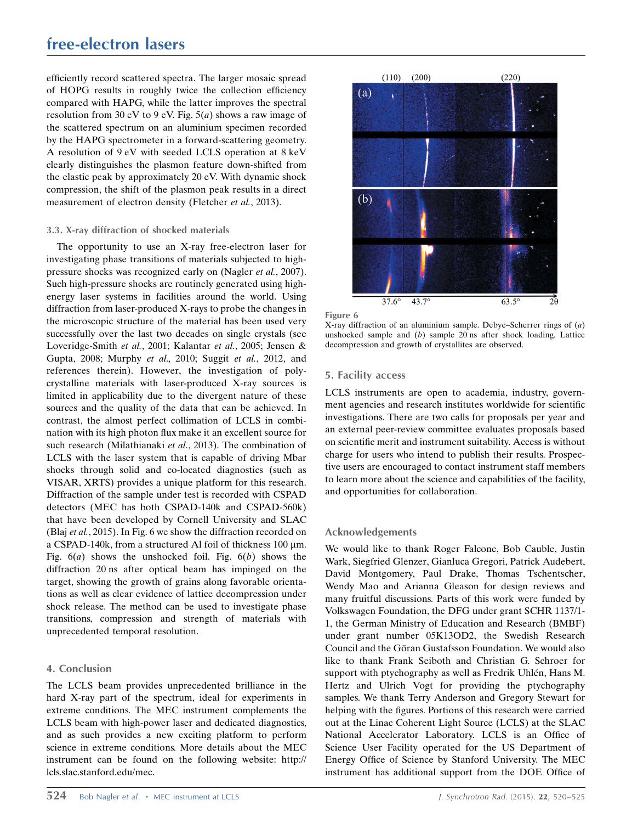## free-electron lasers

efficiently record scattered spectra. The larger mosaic spread of HOPG results in roughly twice the collection efficiency compared with HAPG, while the latter improves the spectral resolution from 30 eV to 9 eV. Fig.  $5(a)$  shows a raw image of the scattered spectrum on an aluminium specimen recorded by the HAPG spectrometer in a forward-scattering geometry. A resolution of 9 eV with seeded LCLS operation at 8 keV clearly distinguishes the plasmon feature down-shifted from the elastic peak by approximately 20 eV. With dynamic shock compression, the shift of the plasmon peak results in a direct measurement of electron density (Fletcher et al., 2013).

#### 3.3. X-ray diffraction of shocked materials

The opportunity to use an X-ray free-electron laser for investigating phase transitions of materials subjected to highpressure shocks was recognized early on (Nagler et al., 2007). Such high-pressure shocks are routinely generated using highenergy laser systems in facilities around the world. Using diffraction from laser-produced X-rays to probe the changes in the microscopic structure of the material has been used very successfully over the last two decades on single crystals (see Loveridge-Smith et al., 2001; Kalantar et al., 2005; Jensen & Gupta, 2008; Murphy et al., 2010; Suggit et al., 2012, and references therein). However, the investigation of polycrystalline materials with laser-produced X-ray sources is limited in applicability due to the divergent nature of these sources and the quality of the data that can be achieved. In contrast, the almost perfect collimation of LCLS in combination with its high photon flux make it an excellent source for such research (Milathianaki et al., 2013). The combination of LCLS with the laser system that is capable of driving Mbar shocks through solid and co-located diagnostics (such as VISAR, XRTS) provides a unique platform for this research. Diffraction of the sample under test is recorded with CSPAD detectors (MEC has both CSPAD-140k and CSPAD-560k) that have been developed by Cornell University and SLAC (Blaj et al., 2015). In Fig. 6 we show the diffraction recorded on a CSPAD-140k, from a structured Al foil of thickness  $100 \mu m$ . Fig.  $6(a)$  shows the unshocked foil. Fig.  $6(b)$  shows the diffraction 20 ns after optical beam has impinged on the target, showing the growth of grains along favorable orientations as well as clear evidence of lattice decompression under shock release. The method can be used to investigate phase transitions, compression and strength of materials with unprecedented temporal resolution.

## 4. Conclusion

The LCLS beam provides unprecedented brilliance in the hard X-ray part of the spectrum, ideal for experiments in extreme conditions. The MEC instrument complements the LCLS beam with high-power laser and dedicated diagnostics, and as such provides a new exciting platform to perform science in extreme conditions. More details about the MEC instrument can be found on the following website: http:// lcls.slac.stanford.edu/mec.



Figure 6

X-ray diffraction of an aluminium sample. Debye–Scherrer rings of (a) unshocked sample and  $(b)$  sample 20 ns after shock loading. Lattice decompression and growth of crystallites are observed.

### 5. Facility access

LCLS instruments are open to academia, industry, government agencies and research institutes worldwide for scientific investigations. There are two calls for proposals per year and an external peer-review committee evaluates proposals based on scientific merit and instrument suitability. Access is without charge for users who intend to publish their results. Prospective users are encouraged to contact instrument staff members to learn more about the science and capabilities of the facility, and opportunities for collaboration.

#### Acknowledgements

We would like to thank Roger Falcone, Bob Cauble, Justin Wark, Siegfried Glenzer, Gianluca Gregori, Patrick Audebert, David Montgomery, Paul Drake, Thomas Tschentscher, Wendy Mao and Arianna Gleason for design reviews and many fruitful discussions. Parts of this work were funded by Volkswagen Foundation, the DFG under grant SCHR 1137/1- 1, the German Ministry of Education and Research (BMBF) under grant number 05K13OD2, the Swedish Research Council and the Göran Gustafsson Foundation. We would also like to thank Frank Seiboth and Christian G. Schroer for support with ptychography as well as Fredrik Uhlén, Hans M. Hertz and Ulrich Vogt for providing the ptychography samples. We thank Terry Anderson and Gregory Stewart for helping with the figures. Portions of this research were carried out at the Linac Coherent Light Source (LCLS) at the SLAC National Accelerator Laboratory. LCLS is an Office of Science User Facility operated for the US Department of Energy Office of Science by Stanford University. The MEC instrument has additional support from the DOE Office of